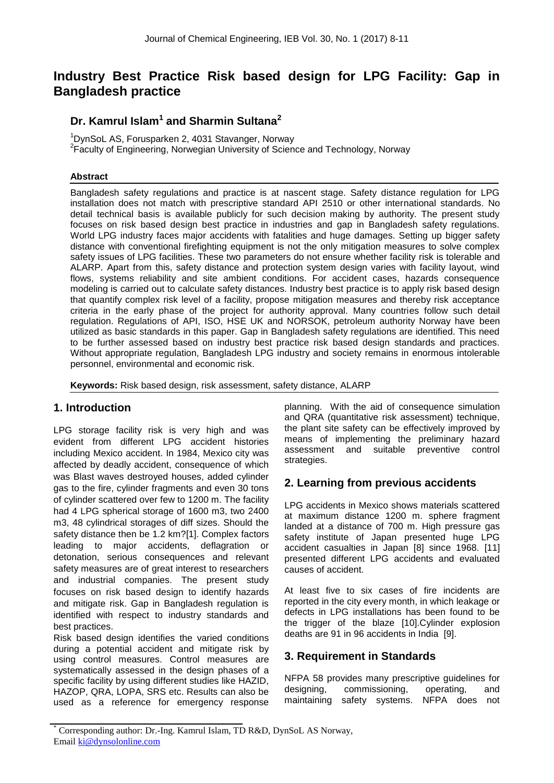# **Industry Best Practice Risk based design for LPG Facility: Gap in Bangladesh practice**

# **Dr. Kamrul Islam<sup>1</sup> and Sharmin Sultana<sup>2</sup>**

<sup>1</sup>DvnSoL AS, Forusparken 2, 4031 Stavanger, Norway <sup>2</sup>Faculty of Engineering, Norwegian University of Science and Technology, Norway

#### **Abstract**

Bangladesh safety regulations and practice is at nascent stage. Safety distance regulation for LPG installation does not match with prescriptive standard API 2510 or other international standards. No detail technical basis is available publicly for such decision making by authority. The present study focuses on risk based design best practice in industries and gap in Bangladesh safety regulations. World LPG industry faces major accidents with fatalities and huge damages. Setting up bigger safety distance with conventional firefighting equipment is not the only mitigation measures to solve complex safety issues of LPG facilities. These two parameters do not ensure whether facility risk is tolerable and ALARP. Apart from this, safety distance and protection system design varies with facility layout, wind flows, systems reliability and site ambient conditions. For accident cases, hazards consequence modeling is carried out to calculate safety distances. Industry best practice is to apply risk based design that quantify complex risk level of a facility, propose mitigation measures and thereby risk acceptance criteria in the early phase of the project for authority approval. Many countries follow such detail regulation. Regulations of API, ISO, HSE UK and NORSOK, petroleum authority Norway have been utilized as basic standards in this paper. Gap in Bangladesh safety regulations are identified. This need to be further assessed based on industry best practice risk based design standards and practices. Without appropriate regulation, Bangladesh LPG industry and society remains in enormous intolerable personnel, environmental and economic risk.

**Keywords:** Risk based design, risk assessment, safety distance, ALARP

# **1. Introduction**

LPG storage facility risk is very high and was evident from different LPG accident histories including Mexico accident. In 1984, Mexico city was affected by deadly accident, consequence of which was Blast waves destroyed houses, added cylinder gas to the fire, cylinder fragments and even 30 tons of cylinder scattered over few to 1200 m. The facility had 4 LPG spherical storage of 1600 m3, two 2400 m3, 48 cylindrical storages of diff sizes. Should the safety distance then be 1.2 km?[1]. Complex factors leading to major accidents, deflagration or detonation, serious consequences and relevant safety measures are of great interest to researchers and industrial companies. The present study focuses on risk based design to identify hazards and mitigate risk. Gap in Bangladesh regulation is identified with respect to industry standards and best practices.

Risk based design identifies the varied conditions during a potential accident and mitigate risk by using control measures. Control measures are systematically assessed in the design phases of a specific facility by using different studies like HAZID, HAZOP, QRA, LOPA, SRS etc. Results can also be used as a reference for emergency response planning. With the aid of consequence simulation and QRA (quantitative risk assessment) technique, the plant site safety can be effectively improved by means of implementing the preliminary hazard assessment and suitable preventive control strategies.

# **2. Learning from previous accidents**

LPG accidents in Mexico shows materials scattered at maximum distance 1200 m. sphere fragment landed at a distance of 700 m. High pressure gas safety institute of Japan presented huge LPG accident casualties in Japan [8] since 1968. [11] presented different LPG accidents and evaluated causes of accident.

At least five to six cases of fire incidents are reported in the city every month, in which leakage or defects in LPG installations has been found to be the trigger of the blaze [10].Cylinder explosion deaths are 91 in 96 accidents in India [9].

### **3. Requirement in Standards**

NFPA 58 provides many prescriptive guidelines for designing, commissioning, operating, and maintaining safety systems. NFPA does not

<sup>\*</sup> Corresponding author: Dr.-Ing. Kamrul Islam, TD R&D, DynSoL AS Norway, Email ki@dynsolonline.com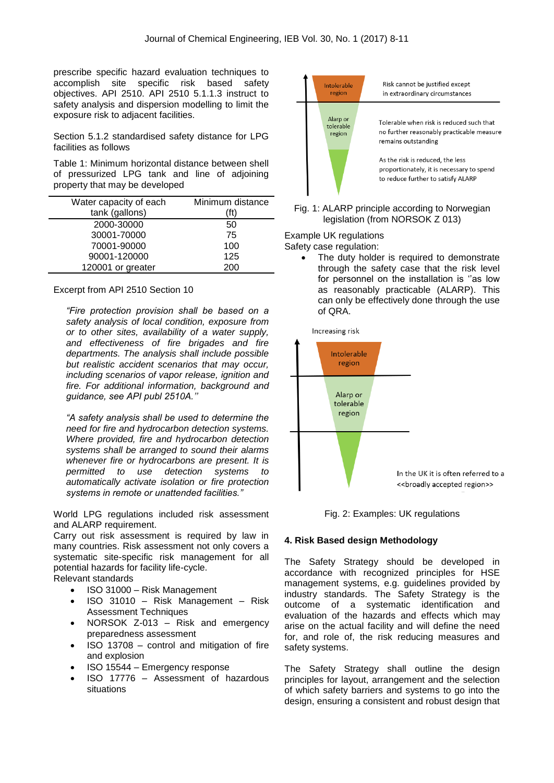prescribe specific hazard evaluation techniques to accomplish site specific risk based safety objectives. API 2510. API 2510 5.1.1.3 instruct to safety analysis and dispersion modelling to limit the exposure risk to adjacent facilities.

Section 5.1.2 standardised safety distance for LPG facilities as follows

Table 1: Minimum horizontal distance between shell of pressurized LPG tank and line of adjoining property that may be developed

| Water capacity of each | Minimum distance |
|------------------------|------------------|
| tank (gallons)         | (ft)             |
| 2000-30000             | 50               |
| 30001-70000            | 75               |
| 70001-90000            | 100              |
| 90001-120000           | 125              |
| 120001 or greater      | 200              |

Excerpt from API 2510 Section 10

*"Fire protection provision shall be based on a safety analysis of local condition, exposure from or to other sites, availability of a water supply, and effectiveness of fire brigades and fire departments. The analysis shall include possible but realistic accident scenarios that may occur, including scenarios of vapor release, ignition and fire. For additional information, background and guidance, see API publ 2510A.''*

*"A safety analysis shall be used to determine the need for fire and hydrocarbon detection systems. Where provided, fire and hydrocarbon detection systems shall be arranged to sound their alarms whenever fire or hydrocarbons are present. It is permitted to use detection systems to automatically activate isolation or fire protection systems in remote or unattended facilities."*

World LPG regulations included risk assessment and ALARP requirement.

Carry out risk assessment is required by law in many countries. Risk assessment not only covers a systematic site-specific risk management for all potential hazards for facility life-cycle.

Relevant standards

- ISO 31000 Risk Management
- ISO 31010 Risk Management Risk Assessment Techniques
- NORSOK Z-013 Risk and emergency preparedness assessment
- ISO 13708 control and mitigation of fire and explosion
- ISO 15544 Emergency response
- ISO 17776 Assessment of hazardous situations



Fig. 1: ALARP principle according to Norwegian legislation (from NORSOK Z 013)

Example UK regulations Safety case regulation:

> The duty holder is required to demonstrate through the safety case that the risk level for personnel on the installation is ''as low as reasonably practicable (ALARP). This can only be effectively done through the use of QRA.

Increasing risk





#### **4. Risk Based design Methodology**

The Safety Strategy should be developed in accordance with recognized principles for HSE management systems, e.g. guidelines provided by industry standards. The Safety Strategy is the outcome of a systematic identification and evaluation of the hazards and effects which may arise on the actual facility and will define the need for, and role of, the risk reducing measures and safety systems.

The Safety Strategy shall outline the design principles for layout, arrangement and the selection of which safety barriers and systems to go into the design, ensuring a consistent and robust design that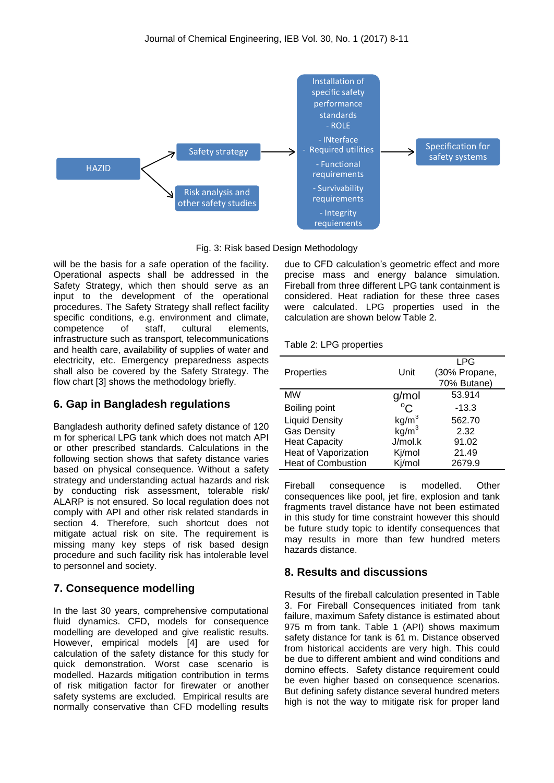

Fig. 3: Risk based Design Methodology

will be the basis for a safe operation of the facility. Operational aspects shall be addressed in the Safety Strategy, which then should serve as an input to the development of the operational procedures. The Safety Strategy shall reflect facility specific conditions, e.g. environment and climate, competence of staff, cultural elements, infrastructure such as transport, telecommunications and health care, availability of supplies of water and electricity, etc. Emergency preparedness aspects shall also be covered by the Safety Strategy. The flow chart [3] shows the methodology briefly.

### **6. Gap in Bangladesh regulations**

Bangladesh authority defined safety distance of 120 m for spherical LPG tank which does not match API or other prescribed standards. Calculations in the following section shows that safety distance varies based on physical consequence. Without a safety strategy and understanding actual hazards and risk by conducting risk assessment, tolerable risk/ ALARP is not ensured. So local regulation does not comply with API and other risk related standards in section 4. Therefore, such shortcut does not mitigate actual risk on site. The requirement is missing many key steps of risk based design procedure and such facility risk has intolerable level to personnel and society.

# **7. Consequence modelling**

In the last 30 years, comprehensive computational fluid dynamics. CFD, models for consequence modelling are developed and give realistic results. However, empirical models [4] are used for calculation of the safety distance for this study for quick demonstration. Worst case scenario is modelled. Hazards mitigation contribution in terms of risk mitigation factor for firewater or another safety systems are excluded. Empirical results are normally conservative than CFD modelling results

due to CFD calculation's geometric effect and more precise mass and energy balance simulation. Fireball from three different LPG tank containment is considered. Heat radiation for these three cases were calculated. LPG properties used in the calculation are shown below Table 2.

|  |  |  | Table 2: LPG properties |
|--|--|--|-------------------------|
|--|--|--|-------------------------|

| Properties                | Unit              | <b>LPG</b><br>(30% Propane,<br>70% Butane) |
|---------------------------|-------------------|--------------------------------------------|
| <b>MW</b>                 | g/mol             | 53.914                                     |
| Boiling point             | $^{\circ}C$       | -13.3                                      |
| <b>Liquid Density</b>     | $kg/m^3$          | 562.70                                     |
| <b>Gas Density</b>        | kg/m <sup>3</sup> | 2.32                                       |
| <b>Heat Capacity</b>      | J/mol.k           | 91.02                                      |
| Heat of Vaporization      | Kj/mol            | 21.49                                      |
| <b>Heat of Combustion</b> | Kj/mol            | 2679.9                                     |

Fireball consequence is modelled. Other consequences like pool, jet fire, explosion and tank fragments travel distance have not been estimated in this study for time constraint however this should be future study topic to identify consequences that may results in more than few hundred meters hazards distance.

# **8. Results and discussions**

Results of the fireball calculation presented in Table 3. For Fireball Consequences initiated from tank failure, maximum Safety distance is estimated about 975 m from tank. Table 1 (API) shows maximum safety distance for tank is 61 m. Distance observed from historical accidents are very high. This could be due to different ambient and wind conditions and domino effects. Safety distance requirement could be even higher based on consequence scenarios. But defining safety distance several hundred meters high is not the way to mitigate risk for proper land